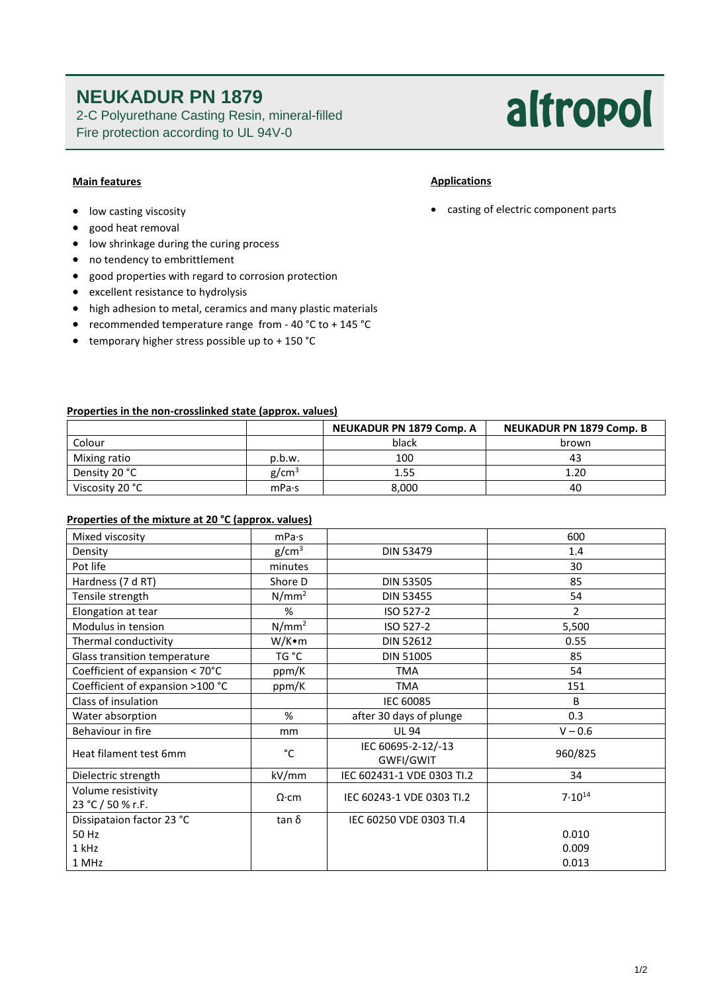## **NEUKADUR PN 1879**

2-C Polyurethane Casting Resin, mineral-filled Fire protection according to UL 94V-0

# altropol

### **Main features**

- **•** low casting viscosity
- good heat removal
- low shrinkage during the curing process
- no tendency to embrittlement
- good properties with regard to corrosion protection
- excellent resistance to hydrolysis
- high adhesion to metal, ceramics and many plastic materials
- recommended temperature range from 40 °C to + 145 °C
- $\bullet$  temporary higher stress possible up to + 150 °C

### **Properties in the non-crosslinked state (approx. values)**

|                 |                   | <b>NEUKADUR PN 1879 Comp. A</b> | <b>NEUKADUR PN 1879 Comp. B</b> |
|-----------------|-------------------|---------------------------------|---------------------------------|
| Colour          |                   | black                           | brown                           |
| Mixing ratio    | p.b.w.            | 100                             | 43                              |
| Density 20 °C   | g/cm <sup>3</sup> | 1.55                            | 1.20                            |
| Viscosity 20 °C | mPa·s             | 8,000                           | 40                              |

### **Properties of the mixture at 20 °C (approx. values)**

| Mixed viscosity                         | mPa·s             |                                 | 600            |
|-----------------------------------------|-------------------|---------------------------------|----------------|
| Density                                 | g/cm <sup>3</sup> | DIN 53479                       | 1.4            |
| Pot life                                | minutes           |                                 | 30             |
| Hardness (7 d RT)                       | Shore D           | <b>DIN 53505</b>                | 85             |
| Tensile strength                        | $N/mm^2$          | <b>DIN 53455</b>                | 54             |
| Elongation at tear                      | %                 | ISO 527-2                       | $\overline{2}$ |
| Modulus in tension                      | N/mm <sup>2</sup> | ISO 527-2                       | 5,500          |
| Thermal conductivity                    | W/K•m             | <b>DIN 52612</b>                | 0.55           |
| Glass transition temperature            | TG °C             | <b>DIN 51005</b>                | 85             |
| Coefficient of expansion < 70°C         | ppm/K             | <b>TMA</b>                      | 54             |
| Coefficient of expansion >100 °C        | ppm/K             | <b>TMA</b>                      | 151            |
| Class of insulation                     |                   | IEC 60085                       | B              |
| Water absorption                        | %                 | after 30 days of plunge         | 0.3            |
| Behaviour in fire                       | mm                | <b>UL 94</b>                    | $V - 0.6$      |
| Heat filament test 6mm                  | °C                | IEC 60695-2-12/-13<br>GWFI/GWIT | 960/825        |
| Dielectric strength                     | kV/mm             | IEC 602431-1 VDE 0303 TI.2      | 34             |
| Volume resistivity<br>23 °C / 50 % r.F. | $\Omega$ ·cm      | IEC 60243-1 VDE 0303 TI.2       | $7.10^{14}$    |
| Dissipataion factor 23 °C               | tan δ             | IEC 60250 VDE 0303 TI.4         |                |
| 50 Hz                                   |                   |                                 | 0.010          |
| 1 kHz                                   |                   |                                 | 0.009          |
| 1 MHz                                   |                   |                                 | 0.013          |

casting of electric component parts

**Applications**